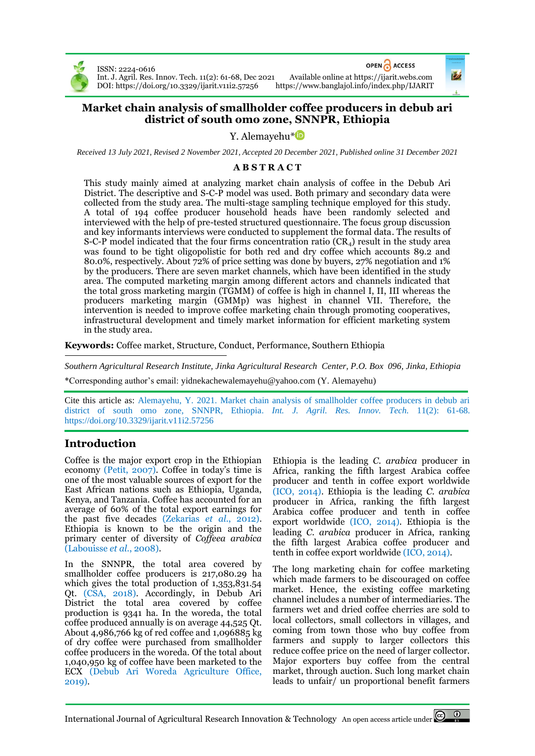

ISSN: 2224-0616

OPEN ACCESS

Int. J. Agril. Res. Innov. Tech. 11(2): 61-68, Dec 2021 Available online a[t https://ijarit.webs.com](http://ijarit.webs.com/) DOI[: https://doi.org/10.3329/ijarit.v11i2.57256](https://doi.org/10.3329/ijarit.v11i2.57256)

## **Market chain analysis of smallholder coffee producers in debub ari district of south omo zone, SNNPR, Ethiopia**

Y. Alemayehu<sup>[\\*](https://orcid.org/0000-0003-3365-8063)</sup><sup>iD</sup>

*Received 13 July 2021, Revised 2 November 2021, Accepted 20 December 2021, Published online 31 December 2021*

### **A B S T R A C T**

This study mainly aimed at analyzing market chain analysis of coffee in the Debub Ari District. The descriptive and S-C-P model was used. Both primary and secondary data were collected from the study area. The multi-stage sampling technique employed for this study. A total of 194 coffee producer household heads have been randomly selected and interviewed with the help of pre-tested structured questionnaire. The focus group discussion and key informants interviews were conducted to supplement the formal data. The results of S-C-P model indicated that the four firms concentration ratio  $(CR<sub>4</sub>)$  result in the study area was found to be tight oligopolistic for both red and dry coffee which accounts 89.2 and 80.0%, respectively. About 72% of price setting was done by buyers, 27% negotiation and 1% by the producers. There are seven market channels, which have been identified in the study area. The computed marketing margin among different actors and channels indicated that the total gross marketing margin (TGMM) of coffee is high in channel I, II, III whereas the producers marketing margin (GMMp) was highest in channel VII. Therefore, the intervention is needed to improve coffee marketing chain through promoting cooperatives, infrastructural development and timely market information for efficient marketing system in the study area.

**Keywords:** Coffee market, Structure, Conduct, Performance, Southern Ethiopia

*Southern Agricultural Research Institute, Jinka Agricultural Research Center, P.O. Box 096, Jinka, Ethiopia* \*Corresponding author's email: yidnekachewalemayehu@yahoo.com (Y. Alemayehu)

Cite this article as: Alemayehu, Y. 2021. Market chain analysis of smallholder coffee producers in debub ari district of south omo zone, SNNPR, Ethiopia. *Int. J. Agril. Res. Innov. Tech.* 11(2): 61-68. <https://doi.org/10.3329/ijarit.v11i2.57256>

# **Introduction**

Coffee is the major export crop in the Ethiopian economy (Petit, 2007). Coffee in today's time is one of the most valuable sources of export for the East African nations such as Ethiopia, Uganda, Kenya, and Tanzania. Coffee has accounted for an average of 60% of the total export earnings for the past five decades (Zekarias *et al*., 2012). Ethiopia is known to be the origin and the primary center of diversity of *Coffeea arabica* (Labouisse *et al*., 2008).

In the SNNPR, the total area covered by smallholder coffee producers is 217,080.29 ha which gives the total production of 1,353,831.54 Qt. (CSA, 2018). Accordingly, in Debub Ari District the total area covered by coffee production is 9341 ha. In the woreda, the total coffee produced annually is on average 44,525 Qt. About 4,986,766 kg of red coffee and 1,096885 kg of dry coffee were purchased from smallholder coffee producers in the woreda. Of the total about 1,040,950 kg of coffee have been marketed to the ECX (Debub Ari Woreda Agriculture Office, 2019).

Ethiopia is the leading *C. arabica* producer in Africa, ranking the fifth largest Arabica coffee producer and tenth in coffee export worldwide (ICO, 2014). Ethiopia is the leading *C. arabica* producer in Africa, ranking the fifth largest Arabica coffee producer and tenth in coffee export worldwide (ICO, 2014). Ethiopia is the leading *C. arabica* producer in Africa, ranking the fifth largest Arabica coffee producer and tenth in coffee export worldwide (ICO, 2014).

The long marketing chain for coffee marketing which made farmers to be discouraged on coffee market. Hence, the existing coffee marketing channel includes a number of intermediaries. The farmers wet and dried coffee cherries are sold to local collectors, small collectors in villages, and coming from town those who buy coffee from farmers and supply to larger collectors this reduce coffee price on the need of larger collector. Major exporters buy coffee from the central market, through auction. Such long market chain leads to unfair/ un proportional benefit farmers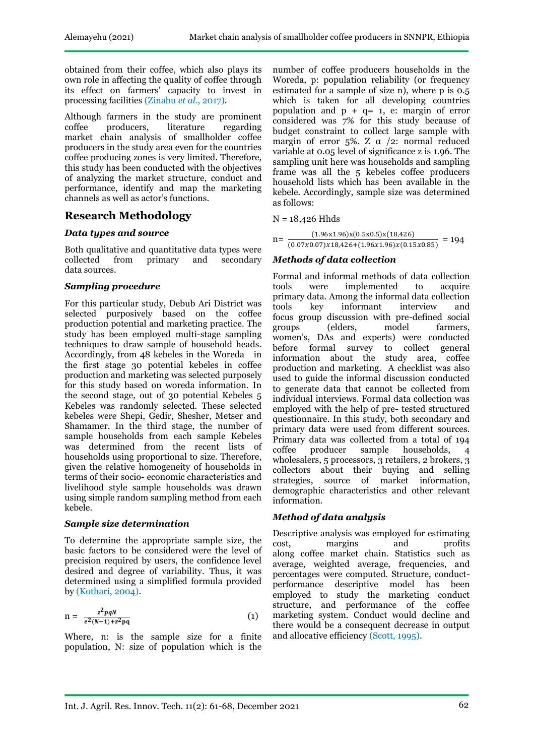obtained from their coffee, which also plays its own role in affecting the quality of coffee through its effect on farmers' capacity to invest in processing facilities (Zinabu *et al*., 2017).

Although farmers in the study are prominent coffee producers, literature regarding market chain analysis of smallholder coffee producers in the study area even for the countries coffee producing zones is very limited. Therefore, this study has been conducted with the objectives of analyzing the market structure, conduct and performance, identify and map the marketing channels as well as actor's functions.

## **Research Methodology**

### *Data types and source*

Both qualitative and quantitative data types were<br>collected from primary and secondary secondary data sources.

### *Sampling procedure*

For this particular study, Debub Ari District was selected purposively based on the coffee production potential and marketing practice. The study has been employed multi-stage sampling techniques to draw sample of household heads. Accordingly, from 48 kebeles in the Woreda in the first stage 30 potential kebeles in coffee production and marketing was selected purposely for this study based on woreda information. In the second stage, out of 30 potential Kebeles 5 Kebeles was randomly selected. These selected kebeles were Shepi, Gedir, Shesher, Metser and Shamamer. In the third stage, the number of sample households from each sample Kebeles was determined from the recent lists of households using proportional to size. Therefore, given the relative homogeneity of households in terms of their socio- economic characteristics and livelihood style sample households was drawn using simple random sampling method from each kebele.

### *Sample size determination*

To determine the appropriate sample size, the basic factors to be considered were the level of precision required by users, the confidence level desired and degree of variability. Thus, it was determined using a simplified formula provided by (Kothari, 2004).

$$
n = \frac{z^2pqN}{e^2(N-1)+z^2pq}
$$
 (1)

Where, n: is the sample size for a finite population, N: size of population which is the

number of coffee producers households in the Woreda, p: population reliability (or frequency estimated for a sample of size n), where p is 0.5 which is taken for all developing countries population and  $p + q = 1$ , e: margin of error considered was 7% for this study because of budget constraint to collect large sample with margin of error 5%. Z  $\alpha$  /2: normal reduced variable at 0.05 level of significance z is 1.96. The sampling unit here was households and sampling frame was all the 5 kebeles coffee producers household lists which has been available in the kebele. Accordingly, sample size was determined as follows:

 $N = 18,426$  Hhds

 $n=\frac{(1.90 \text{ m/s})(0.90 \text{ m/s})(10,120)}{(0.07 \times 0.07) \times 18,426+(1.96 \times 1.96) \times (0.15 \times 0.85)} = 194$  $(1.96x1.96)x(0.5x0.5)x(18,426)$ 

### *Methods of data collection*

Formal and informal methods of data collection tools were implemented to acquire primary data. Among the informal data collection tools key informant interview and focus group discussion with pre-defined social groups (elders, model farmers, women's, DAs and experts) were conducted before formal survey to collect general information about the study area, coffee production and marketing. A checklist was also used to guide the informal discussion conducted to generate data that cannot be collected from individual interviews. Formal data collection was employed with the help of pre- tested structured questionnaire. In this study, both secondary and primary data were used from different sources. Primary data was collected from a total of 194<br>coffee producer sample households, 4 coffee producer sample households, 4 wholesalers, 5 processors, 3 retailers, 2 brokers, 3 collectors about their buying and selling strategies, source of market information, demographic characteristics and other relevant information*.*

### *Method of data analysis*

Descriptive analysis was employed for estimating cost, margins and profits along coffee market chain. Statistics such as average, weighted average, frequencies, and percentages were computed. Structure, conductperformance descriptive model has been employed to study the marketing conduct structure, and performance of the coffee marketing system. Conduct would decline and there would be a consequent decrease in output and allocative efficiency (Scott, 1995).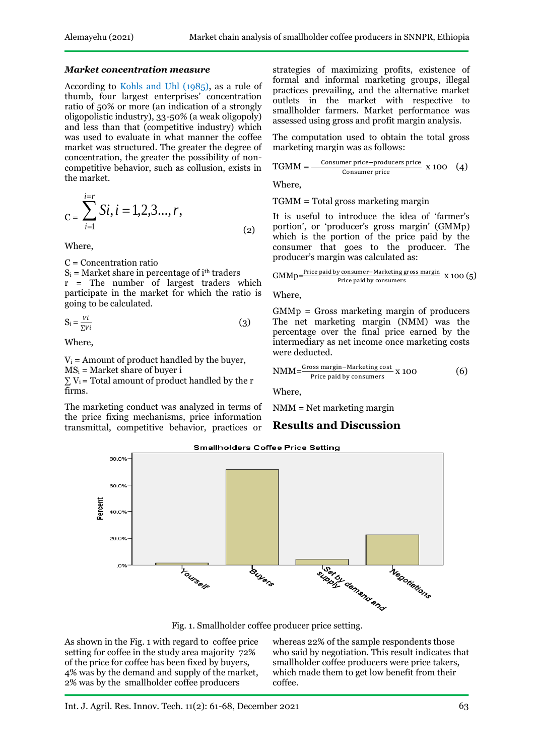#### *Market concentration measure*

According to Kohls and Uhl (1985), as a rule of thumb, four largest enterprises' concentration ratio of 50% or more (an indication of a strongly oligopolistic industry), 33-50% (a weak oligopoly) and less than that (competitive industry) which was used to evaluate in what manner the coffee market was structured. The greater the degree of concentration, the greater the possibility of noncompetitive behavior, such as collusion, exists in the market.

$$
C = \sum_{i=1}^{i=r} Si, i = 1, 2, 3..., r,
$$
\n(2)

Where,

C = Concentration ratio

 $S_i$  = Market share in percentage of i<sup>th</sup> traders r = The number of largest traders which participate in the market for which the ratio is going to be calculated.

$$
S_i = \frac{V_i}{\sum V_i}
$$
 (3)

Where,

 $V_i$  = Amount of product handled by the buyer,  $MS_i = Market share of buyer i$  $\sum V_i$  = Total amount of product handled by the r firms.

The marketing conduct was analyzed in terms of the price fixing mechanisms, price information transmittal, competitive behavior, practices or strategies of maximizing profits, existence of formal and informal marketing groups, illegal practices prevailing, and the alternative market outlets in the market with respective to smallholder farmers. Market performance was assessed using gross and profit margin analysis.

The computation used to obtain the total gross marketing margin was as follows:

$$
TGMM = \frac{\text{Consumer price - producers price}}{\text{Consumer price}} \times 100 \quad (4)
$$

Where,

TGMM **=** Total gross marketing margin

It is useful to introduce the idea of 'farmer's portion', or 'producer's gross margin' (GMMp) which is the portion of the price paid by the consumer that goes to the producer. The producer's margin was calculated as:

$$
GMMp \textit{=}\frac{\text{Price paid by consumer–Marketing gross margin}}{\text{Price paid by consumers}} \text{ X 100 (5)}
$$

Where,

GMMp = Gross marketing margin of producers The net marketing margin (NMM) was the percentage over the final price earned by the intermediary as net income once marketing costs were deducted.

$$
NMM = \frac{Gross margin-Marketing cost}{Price paid by consumers} \times 100
$$
 (6)

Where,

NMM = Net marketing margin

## **Results and Discussion**



As shown in the Fig. 1 with regard to coffee price setting for coffee in the study area majority 72% of the price for coffee has been fixed by buyers, 4% was by the demand and supply of the market, 2% was by the smallholder coffee producers

whereas 22% of the sample respondents those who said by negotiation. This result indicates that smallholder coffee producers were price takers, which made them to get low benefit from their coffee.

**Smallholders Coffee Price Setting**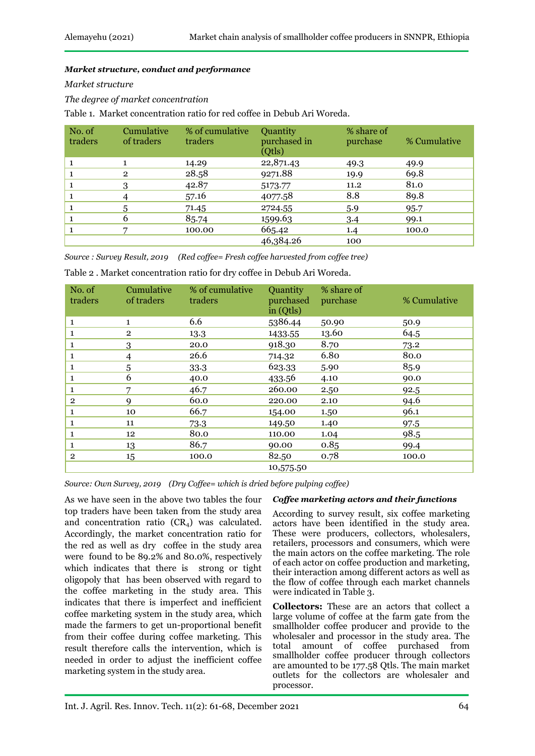#### *Market structure, conduct and performance*

*Market structure*

*The degree of market concentration*

Table 1. Market concentration ratio for red coffee in Debub Ari Woreda.

| No. of<br>traders | Cumulative<br>of traders | % of cumulative<br>traders | Quantity<br>purchased in<br>(Qtls) | % share of<br>purchase | % Cumulative |  |
|-------------------|--------------------------|----------------------------|------------------------------------|------------------------|--------------|--|
|                   |                          | 14.29                      | 22,871.43                          | 49.3                   | 49.9         |  |
|                   | $\overline{2}$           | 28.58                      | 9271.88                            | 19.9                   | 69.8         |  |
|                   | 3                        | 42.87                      | 5173.77                            | 11.2                   | 81.0         |  |
|                   |                          | 57.16                      | 4077.58                            | 8.8                    | 89.8         |  |
|                   | 5                        | 71.45                      | 2724.55                            | 5.9                    | 95.7         |  |
|                   | b                        | 85.74                      | 1599.63                            | 3.4                    | 99.1         |  |
|                   |                          | 100.00                     | 665.42                             | 1.4                    | 100.0        |  |
|                   |                          |                            | 46,384.26                          | 100                    |              |  |

*Source : Survey Result, 2019 (Red coffee= Fresh coffee harvested from coffee tree)*

Table 2 . Market concentration ratio for dry coffee in Debub Ari Woreda.

| No. of<br>traders | Cumulative<br>of traders | % of cumulative<br>traders | Quantity<br>purchased<br>in (Qtls) | % share of<br>purchase | % Cumulative |
|-------------------|--------------------------|----------------------------|------------------------------------|------------------------|--------------|
| 1                 | $\mathbf{1}$             | 6.6                        | 5386.44                            | 50.90                  | 50.9         |
| 1                 | $\overline{2}$           | 13.3                       | 1433.55                            | 13.60                  | 64.5         |
| 1                 | 3                        | 20.0                       | 918.30                             | 8.70                   | 73.2         |
| 1                 | 4                        | 26.6                       | 714.32                             | 6.80                   | 80.0         |
| 1                 | 5                        | 33.3                       | 623.33                             | 5.90                   | 85.9         |
| 1                 | 6                        | 40.0                       | 433.56                             | 4.10                   | 90.0         |
| 1                 | 7                        | 46.7                       | 260.00                             | 2.50                   | 92.5         |
| $\overline{2}$    | Q                        | 60.0                       | 220.00                             | 2.10                   | 94.6         |
| 1                 | 10                       | 66.7                       | 154.00                             | 1.50                   | 96.1         |
| 1                 | 11                       | 73.3                       | 149.50                             | 1.40                   | 97.5         |
| 1                 | 12                       | 80.0                       | 110.00                             | 1.04                   | 98.5         |
| 1                 | 13                       | 86.7                       | 90.00                              | 0.85                   | 99.4         |
| $\overline{2}$    | 15                       | 100.0                      | 82.50                              | 0.78                   | 100.0        |
|                   |                          |                            | 10,575.50                          |                        |              |

*Source: Own Survey, 2019 (Dry Coffee= which is dried before pulping coffee)*

As we have seen in the above two tables the four top traders have been taken from the study area and concentration ratio  $(CR<sub>4</sub>)$  was calculated. Accordingly, the market concentration ratio for the red as well as dry coffee in the study area were found to be 89.2% and 80.0%, respectively which indicates that there is strong or tight oligopoly that has been observed with regard to the coffee marketing in the study area. This indicates that there is imperfect and inefficient coffee marketing system in the study area, which made the farmers to get un-proportional benefit from their coffee during coffee marketing. This result therefore calls the intervention, which is needed in order to adjust the inefficient coffee marketing system in the study area.

#### *Coffee marketing actors and their functions*

According to survey result, six coffee marketing actors have been identified in the study area. These were producers, collectors, wholesalers, retailers, processors and consumers, which were the main actors on the coffee marketing. The role of each actor on coffee production and marketing, their interaction among different actors as well as the flow of coffee through each market channels were indicated in Table 3.

**Collectors:** These are an actors that collect a large volume of coffee at the farm gate from the smallholder coffee producer and provide to the wholesaler and processor in the study area. The total amount of coffee purchased from smallholder coffee producer through collectors are amounted to be 177.58 Qtls. The main market outlets for the collectors are wholesaler and processor.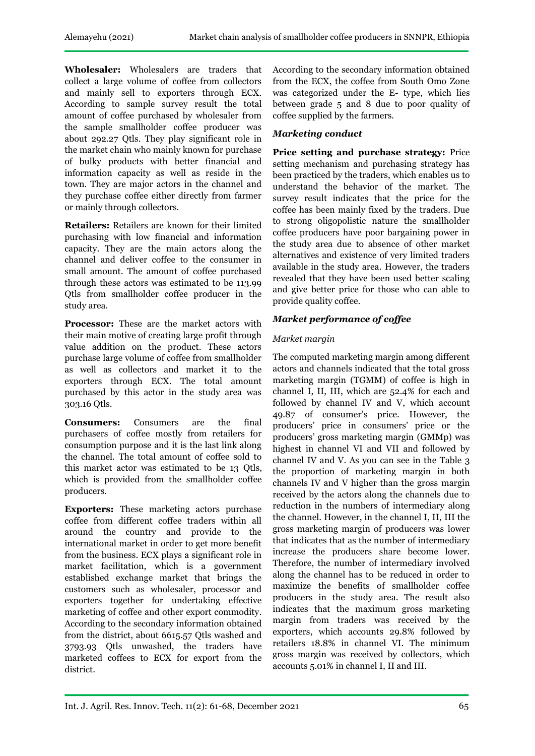**Wholesaler:** Wholesalers are traders that collect a large volume of coffee from collectors and mainly sell to exporters through ECX. According to sample survey result the total amount of coffee purchased by wholesaler from the sample smallholder coffee producer was about 292.27 Qtls. They play significant role in the market chain who mainly known for purchase of bulky products with better financial and information capacity as well as reside in the town. They are major actors in the channel and they purchase coffee either directly from farmer or mainly through collectors.

**Retailers:** Retailers are known for their limited purchasing with low financial and information capacity. They are the main actors along the channel and deliver coffee to the consumer in small amount. The amount of coffee purchased through these actors was estimated to be 113.99 Qtls from smallholder coffee producer in the study area.

**Processor:** These are the market actors with their main motive of creating large profit through value addition on the product. These actors purchase large volume of coffee from smallholder as well as collectors and market it to the exporters through ECX. The total amount purchased by this actor in the study area was 303.16 Qtls.

**Consumers:** Consumers are the final purchasers of coffee mostly from retailers for consumption purpose and it is the last link along the channel. The total amount of coffee sold to this market actor was estimated to be 13 Qtls, which is provided from the smallholder coffee producers.

**Exporters:** These marketing actors purchase coffee from different coffee traders within all around the country and provide to the international market in order to get more benefit from the business. ECX plays a significant role in market facilitation, which is a government established exchange market that brings the customers such as wholesaler, processor and exporters together for undertaking effective marketing of coffee and other export commodity. According to the secondary information obtained from the district, about 6615.57 Qtls washed and 3793.93 Qtls unwashed, the traders have marketed coffees to ECX for export from the district.

According to the secondary information obtained from the ECX, the coffee from South Omo Zone was categorized under the E- type, which lies between grade 5 and 8 due to poor quality of coffee supplied by the farmers.

## *Marketing conduct*

**Price setting and purchase strategy:** Price setting mechanism and purchasing strategy has been practiced by the traders, which enables us to understand the behavior of the market. The survey result indicates that the price for the coffee has been mainly fixed by the traders. Due to strong oligopolistic nature the smallholder coffee producers have poor bargaining power in the study area due to absence of other market alternatives and existence of very limited traders available in the study area. However, the traders revealed that they have been used better scaling and give better price for those who can able to provide quality coffee.

## *Market performance of coffee*

## *Market margin*

The computed marketing margin among different actors and channels indicated that the total gross marketing margin (TGMM) of coffee is high in channel I, II, III, which are 52.4% for each and followed by channel IV and V, which account 49.87 of consumer's price. However, the producers' price in consumers' price or the producers' gross marketing margin (GMMp) was highest in channel VI and VII and followed by channel IV and V. As you can see in the Table 3 the proportion of marketing margin in both channels IV and V higher than the gross margin received by the actors along the channels due to reduction in the numbers of intermediary along the channel. However, in the channel I, II, III the gross marketing margin of producers was lower that indicates that as the number of intermediary increase the producers share become lower. Therefore, the number of intermediary involved along the channel has to be reduced in order to maximize the benefits of smallholder coffee producers in the study area. The result also indicates that the maximum gross marketing margin from traders was received by the exporters, which accounts 29.8% followed by retailers 18.8% in channel VI. The minimum gross margin was received by collectors, which accounts 5.01% in channel I, II and III.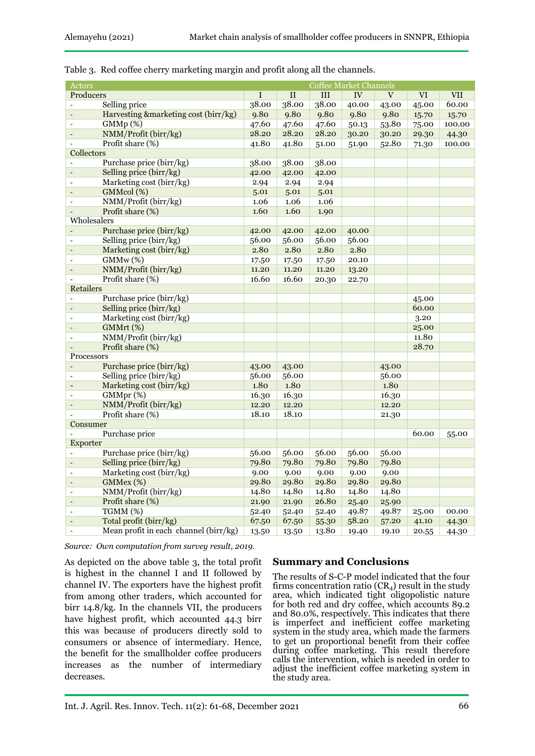| Actors                                                  |                |       | <b>Coffee Market Channels</b> |       |          |       |            |
|---------------------------------------------------------|----------------|-------|-------------------------------|-------|----------|-------|------------|
| Producers                                               | I              | II    | III                           | IV    | $\rm{V}$ | VI    | <b>VII</b> |
| Selling price                                           | 38.00          | 38.00 | 38.00                         | 40.00 | 43.00    | 45.00 | 60.00      |
| Harvesting &marketing cost (birr/kg)<br>$\overline{a}$  | 9.80           | 9.80  | 9.80                          | 9.80  | 9.80     | 15.70 | 15.70      |
| GMMp(%)<br>$\overline{a}$                               | 47.60          | 47.60 | 47.60                         | 50.13 | 53.80    | 75.00 | 100.00     |
| NMM/Profit (birr/kg)                                    | 28.20          | 28.20 | 28.20                         | 30.20 | 30.20    | 29.30 | 44.30      |
| Profit share (%)                                        | 41.80          | 41.80 | 51.00                         | 51.90 | 52.80    | 71.30 | 100.00     |
| Collectors                                              |                |       |                               |       |          |       |            |
| Purchase price (birr/kg)                                | 38.00          | 38.00 | 38.00                         |       |          |       |            |
| Selling price (birr/kg)                                 | 42.00          | 42.00 | 42.00                         |       |          |       |            |
| Marketing cost (birr/kg)                                | 2.94           | 2.94  | 2.94                          |       |          |       |            |
| GMMcol (%)                                              | 5.01           | 5.01  | 5.01                          |       |          |       |            |
| NMM/Profit (birr/kg)                                    | 1.06           | 1.06  | 1.06                          |       |          |       |            |
| Profit share (%)                                        | 1.60           | 1.60  | 1.90                          |       |          |       |            |
| Wholesalers                                             |                |       |                               |       |          |       |            |
| Purchase price (birr/kg)                                | 42.00          | 42.00 | 42.00                         | 40.00 |          |       |            |
| Selling price (birr/kg)<br>$\overline{a}$               | 56.00          | 56.00 | 56.00                         | 56.00 |          |       |            |
| Marketing cost (birr/kg)                                | 2.80           | 2.80  | 2.80                          | 2.80  |          |       |            |
| GMMw(%)                                                 | 17.50          | 17.50 | 17.50                         | 20.10 |          |       |            |
| NMM/Profit (birr/kg)                                    | 11.20          | 11.20 | 11.20                         | 13.20 |          |       |            |
| Profit share (%)                                        | 16.60          | 16.60 | 20.30                         | 22.70 |          |       |            |
| <b>Retailers</b>                                        |                |       |                               |       |          |       |            |
| Purchase price (birr/kg)<br>ä,                          |                |       |                               |       |          | 45.00 |            |
| Selling price (birr/kg)                                 |                |       |                               |       |          | 60.00 |            |
| Marketing cost (birr/kg)                                |                |       |                               |       |          | 3.20  |            |
| GMMrt (%)                                               |                |       |                               |       |          | 25.00 |            |
| NMM/Profit (birr/kg)                                    |                |       |                               |       |          | 11.80 |            |
| Profit share (%)                                        |                |       |                               |       |          | 28.70 |            |
| Processors                                              |                |       |                               |       |          |       |            |
| Purchase price (birr/kg)                                |                | 43.00 |                               |       | 43.00    |       |            |
| Selling price (birr/kg)                                 | 43.00<br>56.00 | 56.00 |                               |       | 56.00    |       |            |
| Marketing cost (birr/kg)                                | 1.80           | 1.80  |                               |       | 1.80     |       |            |
| GMMpr(%)<br>L.                                          | 16.30          | 16.30 |                               |       | 16.30    |       |            |
| NMM/Profit (birr/kg)                                    | 12.20          | 12.20 |                               |       | 12.20    |       |            |
| Profit share (%)                                        | 18.10          | 18.10 |                               |       | 21.30    |       |            |
| Consumer                                                |                |       |                               |       |          |       |            |
| Purchase price                                          |                |       |                               |       |          | 60.00 | 55.00      |
| Exporter                                                |                |       |                               |       |          |       |            |
| Purchase price (birr/kg)                                | 56.00          | 56.00 | 56.00                         | 56.00 | 56.00    |       |            |
| Selling price (birr/kg)<br>$\blacksquare$               | 79.80          | 79.80 | 79.80                         | 79.80 | 79.80    |       |            |
| Marketing cost (birr/kg)<br>ä,                          | 9.00           | 9.00  | 9.00                          | 9.00  | 9.00     |       |            |
| GMMex (%)<br>L.                                         | 29.80          | 29.80 | 29.80                         | 29.80 | 29.80    |       |            |
| NMM/Profit (birr/kg)                                    | 14.80          | 14.80 | 14.80                         | 14.80 | 14.80    |       |            |
| Profit share (%)                                        | 21.90          | 21.90 | 26.80                         | 25.40 | 25.90    |       |            |
| TGMM (%)                                                | 52.40          | 52.40 | 52.40                         | 49.87 | 49.87    | 25.00 | 00.00      |
| Total profit (birr/kg)<br>$\overline{\phantom{a}}$      | 67.50          | 67.50 | 55.30                         | 58.20 | 57.20    | 41.10 | 44.30      |
| Mean profit in each channel (birr/kg)<br>$\overline{a}$ | 13.50          | 13.50 | 13.80                         | 19.40 | 19.10    | 20.55 | 44.30      |

Table 3. Red coffee cherry marketing margin and profit along all the channels.

*Source: Own computation from survey result, 2019.*

As depicted on the above table 3, the total profit is highest in the channel I and II followed by channel IV. The exporters have the highest profit from among other traders, which accounted for birr 14.8/kg. In the channels VII, the producers have highest profit, which accounted 44.3 birr this was because of producers directly sold to consumers or absence of intermediary. Hence, the benefit for the smallholder coffee producers increases as the number of intermediary decreases.

## **Summary and Conclusions**

The results of S-C-P model indicated that the four firms concentration ratio  $(CR<sub>4</sub>)$  result in the study area, which indicated tight oligopolistic nature for both red and dry coffee, which accounts 89.2 and 80.0%, respectively. This indicates that there is imperfect and inefficient coffee marketing system in the study area, which made the farmers to get un proportional benefit from their coffee during coffee marketing. This result therefore calls the intervention, which is needed in order to adjust the inefficient coffee marketing system in the study area.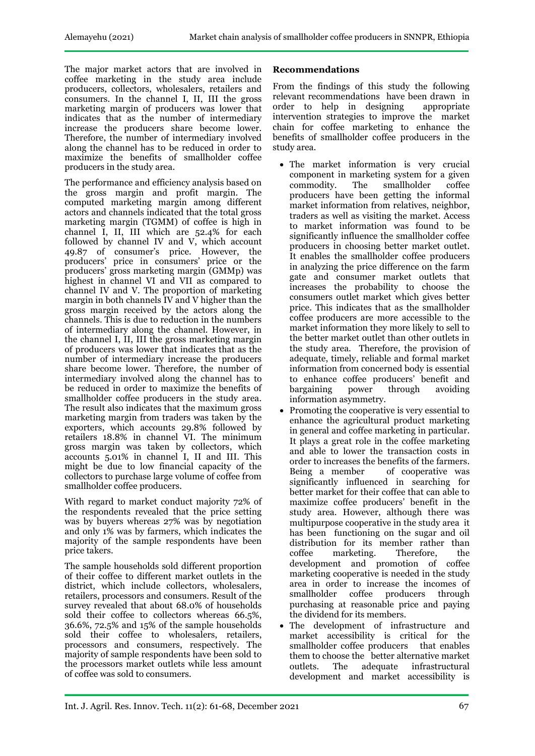The major market actors that are involved in coffee marketing in the study area include producers, collectors, wholesalers, retailers and consumers. In the channel I, II, III the gross marketing margin of producers was lower that indicates that as the number of intermediary increase the producers share become lower. Therefore, the number of intermediary involved along the channel has to be reduced in order to maximize the benefits of smallholder coffee producers in the study area.

The performance and efficiency analysis based on the gross margin and profit margin. The computed marketing margin among different actors and channels indicated that the total gross marketing margin (TGMM) of coffee is high in channel I, II, III which are 52.4% for each followed by channel IV and V, which account 49.87 of consumer's price. However, the producers' price in consumers' price or the producers' gross marketing margin (GMMp) was highest in channel VI and VII as compared to channel IV and V. The proportion of marketing margin in both channels IV and V higher than the gross margin received by the actors along the channels. This is due to reduction in the numbers of intermediary along the channel. However, in the channel I, II, III the gross marketing margin of producers was lower that indicates that as the number of intermediary increase the producers share become lower. Therefore, the number of intermediary involved along the channel has to be reduced in order to maximize the benefits of smallholder coffee producers in the study area. The result also indicates that the maximum gross marketing margin from traders was taken by the exporters, which accounts 29.8% followed by retailers 18.8% in channel VI. The minimum gross margin was taken by collectors, which accounts 5.01% in channel I, II and III. This might be due to low financial capacity of the collectors to purchase large volume of coffee from smallholder coffee producers.

With regard to market conduct majority 72% of the respondents revealed that the price setting was by buyers whereas 27% was by negotiation and only 1% was by farmers, which indicates the majority of the sample respondents have been price takers.

The sample households sold different proportion of their coffee to different market outlets in the district, which include collectors, wholesalers, retailers, processors and consumers. Result of the survey revealed that about 68.0% of households sold their coffee to collectors whereas 66.5%, 36.6%, 72.5% and 15% of the sample households sold their coffee to wholesalers, retailers, processors and consumers, respectively. The majority of sample respondents have been sold to the processors market outlets while less amount of coffee was sold to consumers.

### **Recommendations**

From the findings of this study the following relevant recommendations have been drawn in order to help in designing appropriate intervention strategies to improve the market chain for coffee marketing to enhance the benefits of smallholder coffee producers in the study area.

- The market information is very crucial component in marketing system for a given<br>commodity. The smallholder coffee smallholder producers have been getting the informal market information from relatives, neighbor, traders as well as visiting the market. Access to market information was found to be significantly influence the smallholder coffee producers in choosing better market outlet. It enables the smallholder coffee producers in analyzing the price difference on the farm gate and consumer market outlets that increases the probability to choose the consumers outlet market which gives better price. This indicates that as the smallholder coffee producers are more accessible to the market information they more likely to sell to the better market outlet than other outlets in the study area. Therefore, the provision of adequate, timely, reliable and formal market information from concerned body is essential to enhance coffee producers' benefit and bargaining power through avoiding information asymmetry.
- Promoting the cooperative is very essential to enhance the agricultural product marketing in general and coffee marketing in particular. It plays a great role in the coffee marketing and able to lower the transaction costs in order to increases the benefits of the farmers. Being a member of cooperative was significantly influenced in searching for better market for their coffee that can able to maximize coffee producers' benefit in the study area. However, although there was multipurpose cooperative in the study area it has been functioning on the sugar and oil distribution for its member rather than coffee marketing. Therefore, the development and promotion of coffee marketing cooperative is needed in the study area in order to increase the incomes of smallholder coffee producers through purchasing at reasonable price and paying the dividend for its members.
- The development of infrastructure and market accessibility is critical for the smallholder coffee producers that enables them to choose the better alternative market outlets. The adequate infrastructural development and market accessibility is